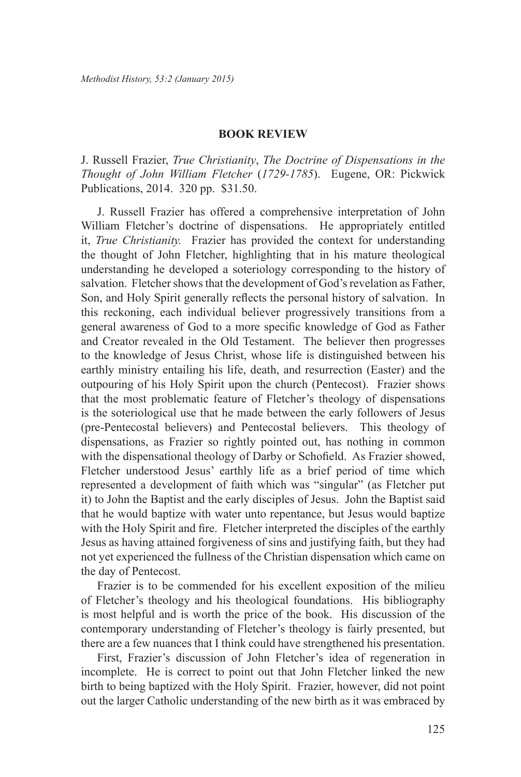## **BOOK REVIEW**

J. Russell Frazier, *True Christianity*, *The Doctrine of Dispensations in the Thought of John William Fletcher* (*1729-1785*). Eugene, OR: Pickwick Publications, 2014. 320 pp. \$31.50.

J. Russell Frazier has offered a comprehensive interpretation of John William Fletcher's doctrine of dispensations. He appropriately entitled it, *True Christianity.* Frazier has provided the context for understanding the thought of John Fletcher, highlighting that in his mature theological understanding he developed a soteriology corresponding to the history of salvation. Fletcher shows that the development of God's revelation as Father, Son, and Holy Spirit generally reflects the personal history of salvation. In this reckoning, each individual believer progressively transitions from a general awareness of God to a more specific knowledge of God as Father and Creator revealed in the Old Testament. The believer then progresses to the knowledge of Jesus Christ, whose life is distinguished between his earthly ministry entailing his life, death, and resurrection (Easter) and the outpouring of his Holy Spirit upon the church (Pentecost). Frazier shows that the most problematic feature of Fletcher's theology of dispensations is the soteriological use that he made between the early followers of Jesus (pre-Pentecostal believers) and Pentecostal believers. This theology of dispensations, as Frazier so rightly pointed out, has nothing in common with the dispensational theology of Darby or Schofield. As Frazier showed, Fletcher understood Jesus' earthly life as a brief period of time which represented a development of faith which was "singular" (as Fletcher put it) to John the Baptist and the early disciples of Jesus. John the Baptist said that he would baptize with water unto repentance, but Jesus would baptize with the Holy Spirit and fire. Fletcher interpreted the disciples of the earthly Jesus as having attained forgiveness of sins and justifying faith, but they had not yet experienced the fullness of the Christian dispensation which came on the day of Pentecost.

Frazier is to be commended for his excellent exposition of the milieu of Fletcher's theology and his theological foundations. His bibliography is most helpful and is worth the price of the book. His discussion of the contemporary understanding of Fletcher's theology is fairly presented, but there are a few nuances that I think could have strengthened his presentation.

First, Frazier's discussion of John Fletcher's idea of regeneration in incomplete. He is correct to point out that John Fletcher linked the new birth to being baptized with the Holy Spirit. Frazier, however, did not point out the larger Catholic understanding of the new birth as it was embraced by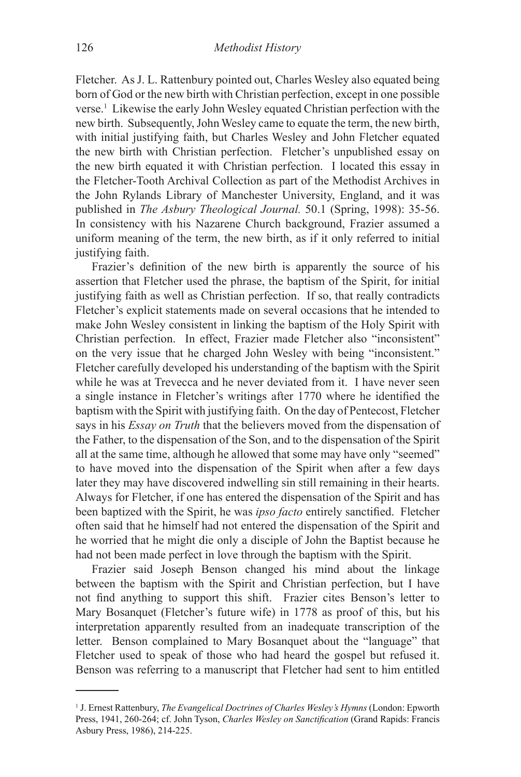Fletcher. As J. L. Rattenbury pointed out, Charles Wesley also equated being born of God or the new birth with Christian perfection, except in one possible verse.1 Likewise the early John Wesley equated Christian perfection with the new birth. Subsequently, John Wesley came to equate the term, the new birth, with initial justifying faith, but Charles Wesley and John Fletcher equated the new birth with Christian perfection. Fletcher's unpublished essay on the new birth equated it with Christian perfection. I located this essay in the Fletcher-Tooth Archival Collection as part of the Methodist Archives in the John Rylands Library of Manchester University, England, and it was published in *The Asbury Theological Journal.* 50.1 (Spring, 1998): 35-56. In consistency with his Nazarene Church background, Frazier assumed a uniform meaning of the term, the new birth, as if it only referred to initial justifying faith.

Frazier's definition of the new birth is apparently the source of his assertion that Fletcher used the phrase, the baptism of the Spirit, for initial justifying faith as well as Christian perfection. If so, that really contradicts Fletcher's explicit statements made on several occasions that he intended to make John Wesley consistent in linking the baptism of the Holy Spirit with Christian perfection. In effect, Frazier made Fletcher also "inconsistent" on the very issue that he charged John Wesley with being "inconsistent." Fletcher carefully developed his understanding of the baptism with the Spirit while he was at Trevecca and he never deviated from it. I have never seen a single instance in Fletcher's writings after 1770 where he identified the baptism with the Spirit with justifying faith. On the day of Pentecost, Fletcher says in his *Essay on Truth* that the believers moved from the dispensation of the Father, to the dispensation of the Son, and to the dispensation of the Spirit all at the same time, although he allowed that some may have only "seemed" to have moved into the dispensation of the Spirit when after a few days later they may have discovered indwelling sin still remaining in their hearts. Always for Fletcher, if one has entered the dispensation of the Spirit and has been baptized with the Spirit, he was *ipso facto* entirely sanctified. Fletcher often said that he himself had not entered the dispensation of the Spirit and he worried that he might die only a disciple of John the Baptist because he had not been made perfect in love through the baptism with the Spirit.

Frazier said Joseph Benson changed his mind about the linkage between the baptism with the Spirit and Christian perfection, but I have not find anything to support this shift. Frazier cites Benson's letter to Mary Bosanquet (Fletcher's future wife) in 1778 as proof of this, but his interpretation apparently resulted from an inadequate transcription of the letter. Benson complained to Mary Bosanquet about the "language" that Fletcher used to speak of those who had heard the gospel but refused it. Benson was referring to a manuscript that Fletcher had sent to him entitled

<sup>&</sup>lt;sup>1</sup> J. Ernest Rattenbury, *The Evangelical Doctrines of Charles Wesley's Hymns* (London: Epworth Press, 1941, 260-264; cf. John Tyson, *Charles Wesley on Sanctification* (Grand Rapids: Francis Asbury Press, 1986), 214-225.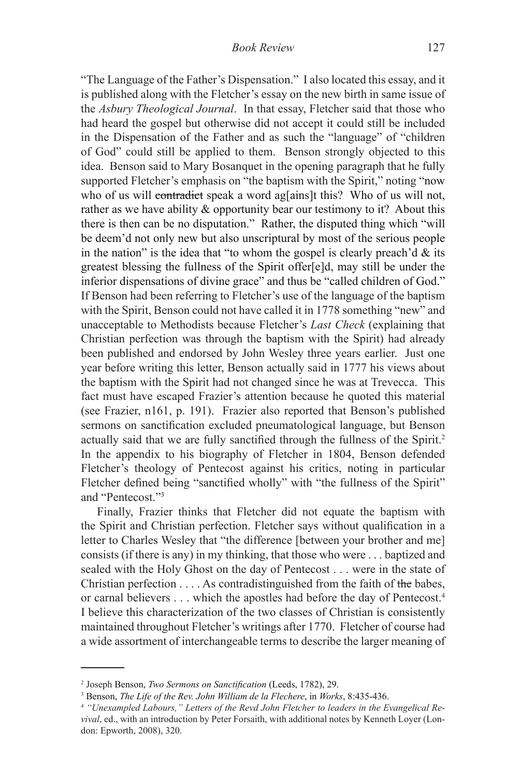"The Language of the Father's Dispensation." I also located this essay, and it is published along with the Fletcher's essay on the new birth in same issue of the *Asbury Theological Journal*. In that essay, Fletcher said that those who had heard the gospel but otherwise did not accept it could still be included in the Dispensation of the Father and as such the "language" of "children of God" could still be applied to them. Benson strongly objected to this idea. Benson said to Mary Bosanquet in the opening paragraph that he fully supported Fletcher's emphasis on "the baptism with the Spirit," noting "now who of us will contradict speak a word ag[ains]t this? Who of us will not, rather as we have ability  $\&$  opportunity bear our testimony to it? About this there is then can be no disputation." Rather, the disputed thing which "will be deem'd not only new but also unscriptural by most of the serious people in the nation" is the idea that "to whom the gospel is clearly preach'd  $\&$  its greatest blessing the fullness of the Spirit offer[e]d, may still be under the inferior dispensations of divine grace" and thus be "called children of God." If Benson had been referring to Fletcher's use of the language of the baptism with the Spirit, Benson could not have called it in 1778 something "new" and unacceptable to Methodists because Fletcher's *Last Check* (explaining that Christian perfection was through the baptism with the Spirit) had already been published and endorsed by John Wesley three years earlier. Just one year before writing this letter, Benson actually said in 1777 his views about the baptism with the Spirit had not changed since he was at Trevecca. This fact must have escaped Frazier's attention because he quoted this material (see Frazier, n161, p. 191). Frazier also reported that Benson's published sermons on sanctification excluded pneumatological language, but Benson actually said that we are fully sanctified through the fullness of the Spirit.<sup>2</sup> In the appendix to his biography of Fletcher in 1804, Benson defended Fletcher's theology of Pentecost against his critics, noting in particular Fletcher defined being "sanctified wholly" with "the fullness of the Spirit" and "Pentecost."3

Finally, Frazier thinks that Fletcher did not equate the baptism with the Spirit and Christian perfection. Fletcher says without qualification in a letter to Charles Wesley that "the difference [between your brother and me] consists (if there is any) in my thinking, that those who were . . . baptized and sealed with the Holy Ghost on the day of Pentecost . . . were in the state of Christian perfection . . . . As contradistinguished from the faith of the babes, or carnal believers . . . which the apostles had before the day of Pentecost.4 I believe this characterization of the two classes of Christian is consistently maintained throughout Fletcher's writings after 1770. Fletcher of course had a wide assortment of interchangeable terms to describe the larger meaning of

<sup>2</sup> Joseph Benson, *Two Sermons on Sanctification* (Leeds, 1782), 29.

<sup>3</sup> Benson, *The Life of the Rev. John William de la Flechere*, in *Works*, 8:435-436.

<sup>4</sup> *"Unexampled Labours," Letters of the Revd John Fletcher to leaders in the Evangelical Revival*, ed., with an introduction by Peter Forsaith, with additional notes by Kenneth Loyer (London: Epworth, 2008), 320.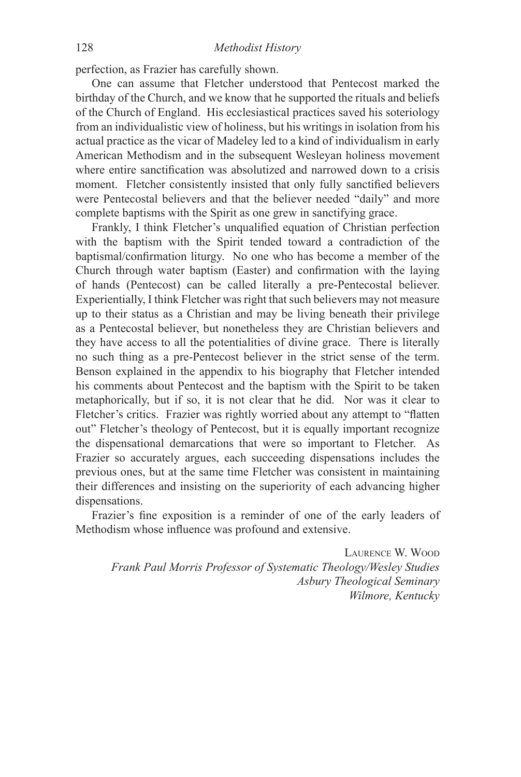perfection, as Frazier has carefully shown.

One can assume that Fletcher understood that Pentecost marked the birthday of the Church, and we know that he supported the rituals and beliefs of the Church of England. His ecclesiastical practices saved his soteriology from an individualistic view of holiness, but his writings in isolation from his actual practice as the vicar of Madeley led to a kind of individualism in early American Methodism and in the subsequent Wesleyan holiness movement where entire sanctification was absolutized and narrowed down to a crisis moment. Fletcher consistently insisted that only fully sanctified believers were Pentecostal believers and that the believer needed "daily" and more complete baptisms with the Spirit as one grew in sanctifying grace.

Frankly, I think Fletcher's unqualified equation of Christian perfection with the baptism with the Spirit tended toward a contradiction of the baptismal/confirmation liturgy. No one who has become a member of the Church through water baptism (Easter) and confirmation with the laying of hands (Pentecost) can be called literally a pre-Pentecostal believer. Experientially, I think Fletcher was right that such believers may not measure up to their status as a Christian and may be living beneath their privilege as a Pentecostal believer, but nonetheless they are Christian believers and they have access to all the potentialities of divine grace. There is literally no such thing as a pre-Pentecost believer in the strict sense of the term. Benson explained in the appendix to his biography that Fletcher intended his comments about Pentecost and the baptism with the Spirit to be taken metaphorically, but if so, it is not clear that he did. Nor was it clear to Fletcher's critics. Frazier was rightly worried about any attempt to "flatten out" Fletcher's theology of Pentecost, but it is equally important recognize the dispensational demarcations that were so important to Fletcher. As Frazier so accurately argues, each succeeding dispensations includes the previous ones, but at the same time Fletcher was consistent in maintaining their differences and insisting on the superiority of each advancing higher dispensations.

Frazier's fine exposition is a reminder of one of the early leaders of Methodism whose influence was profound and extensive.

Laurence W. Wood *Frank Paul Morris Professor of Systematic Theology/Wesley Studies Asbury Theological Seminary Wilmore, Kentucky*